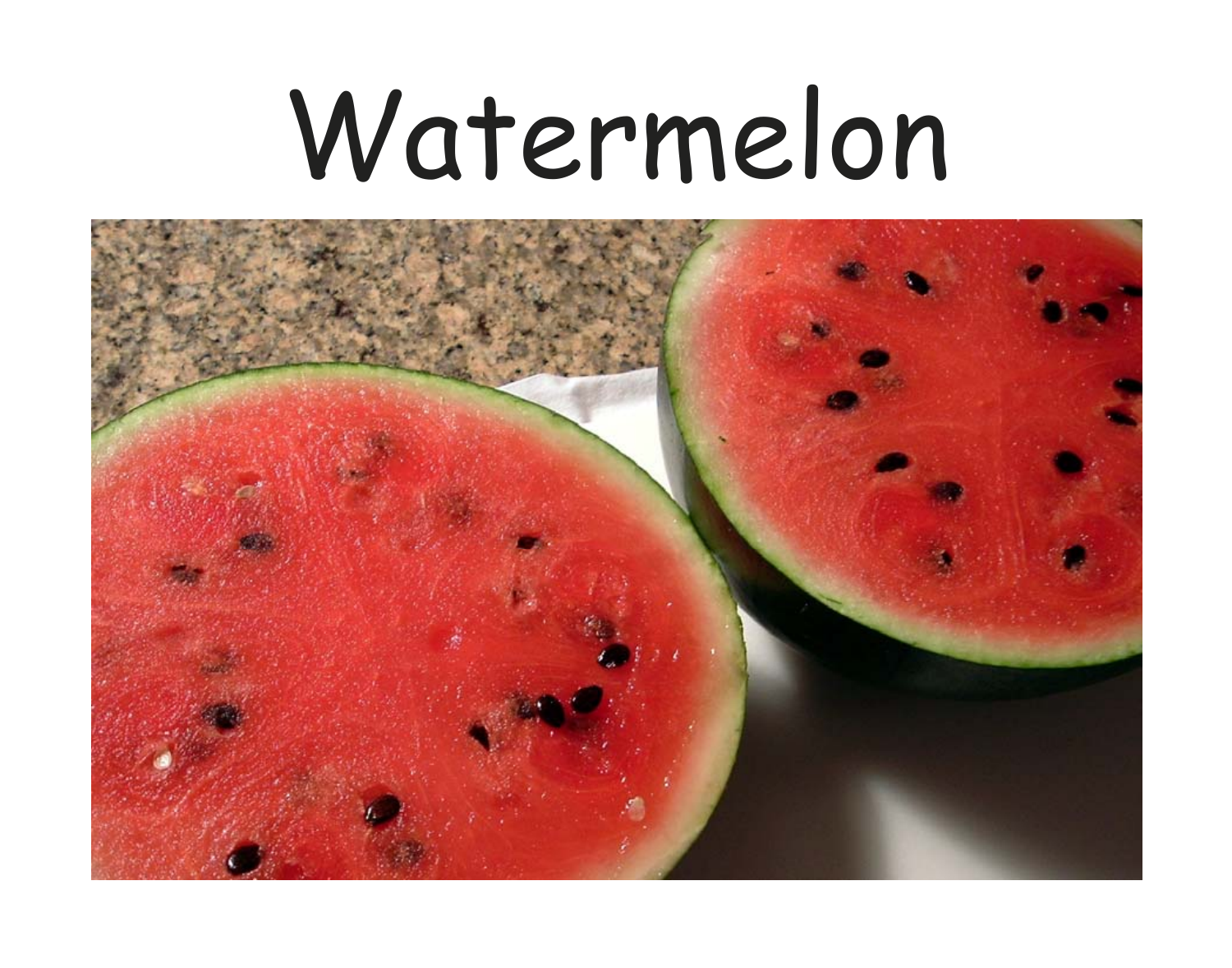# Watermelon

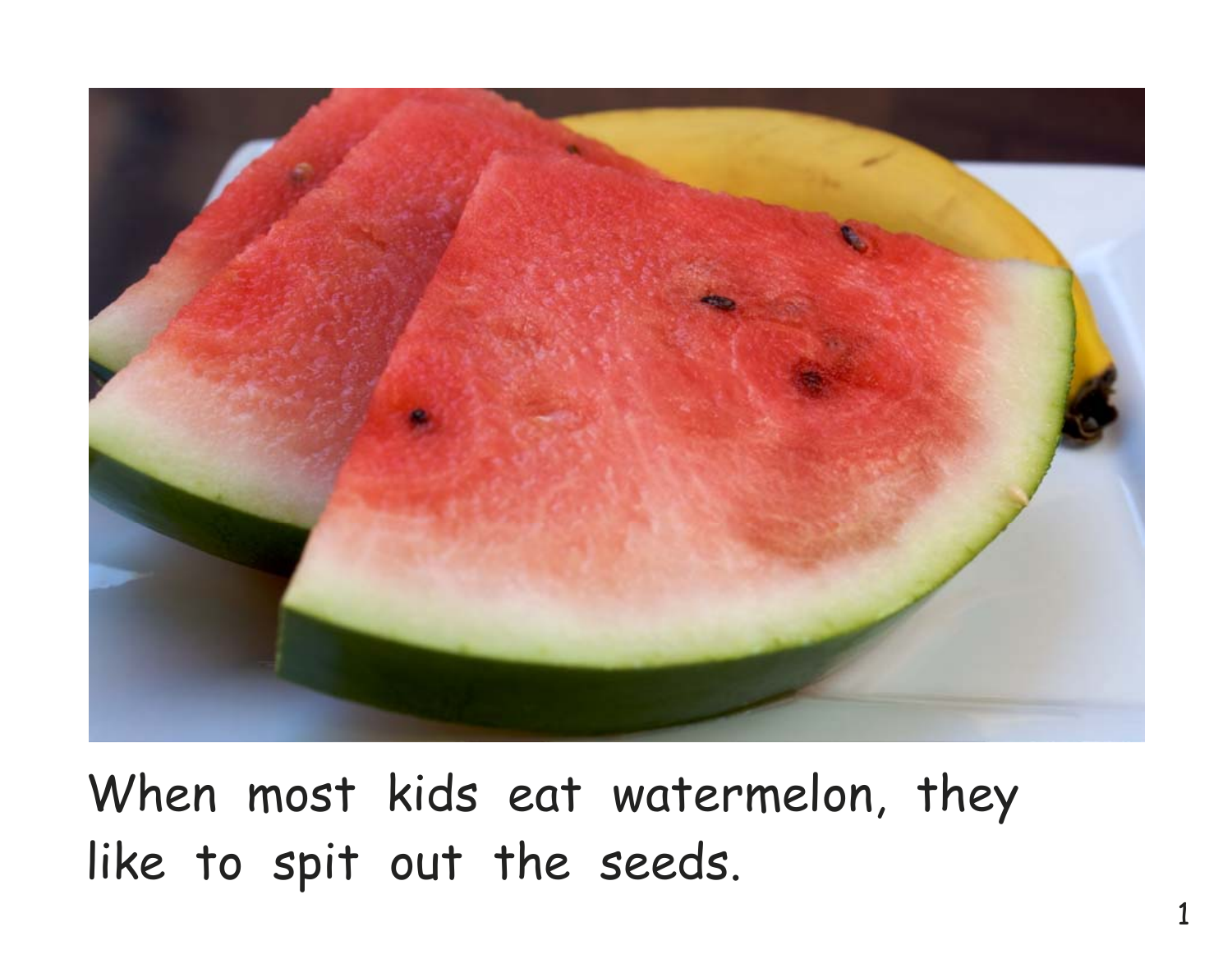

When most kids eat watermelon, they like to spit out the seeds.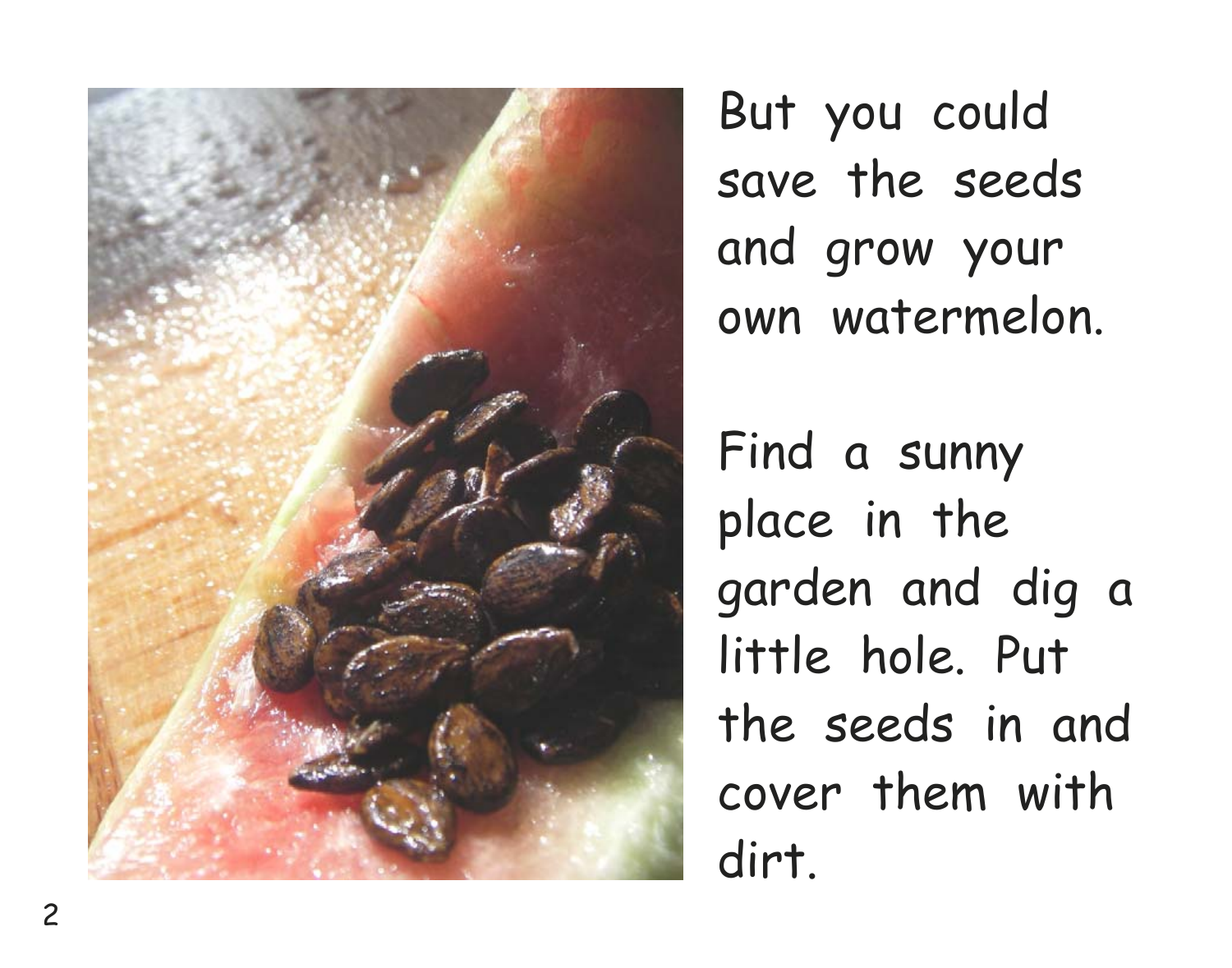

But you could save the seeds and grow your own watermelon.

Find a sunny place in the garden and dig a little hole. Put the seeds in and cover them with dirt.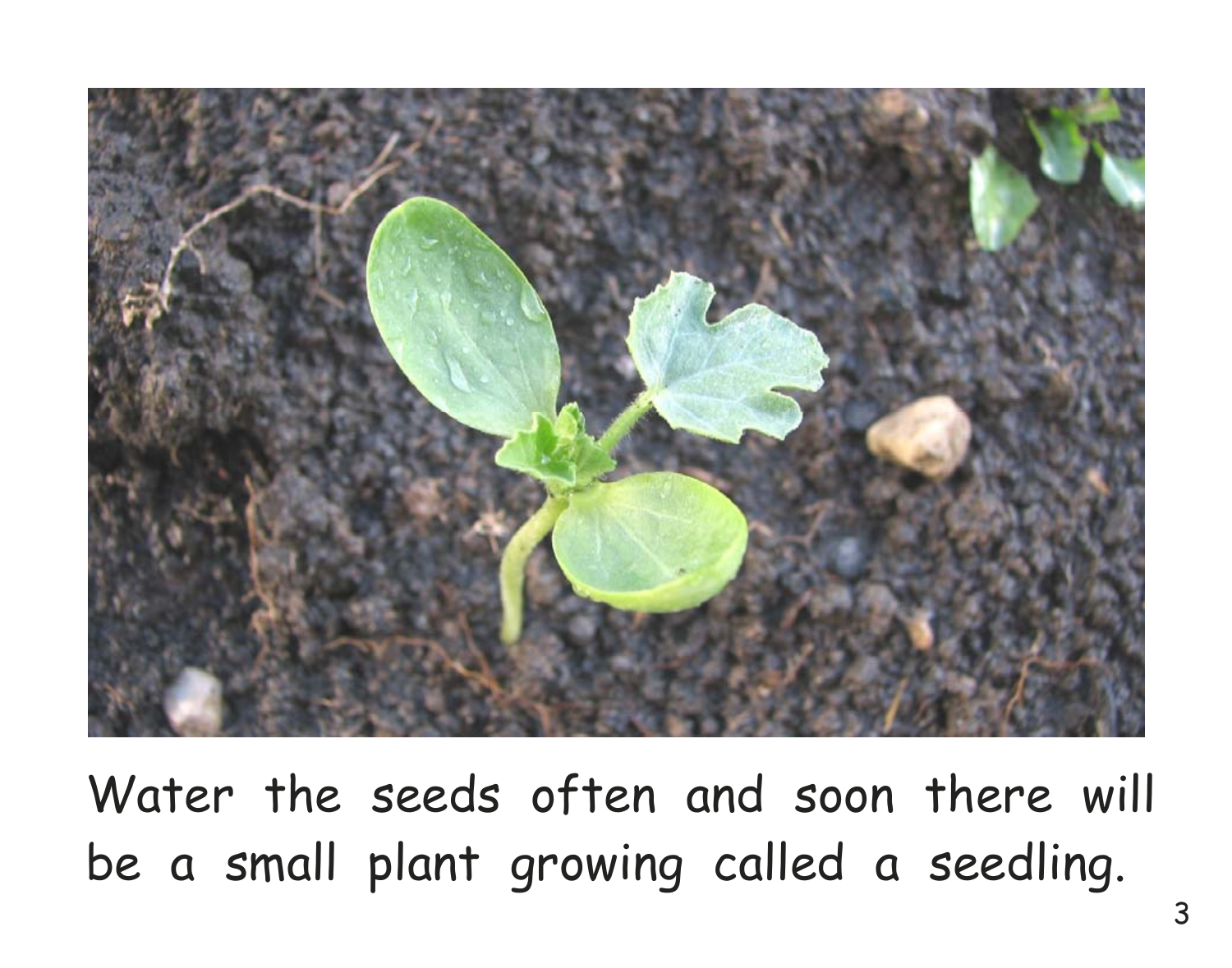

Water the seeds often and soon there will be a small plant growing called a seedling.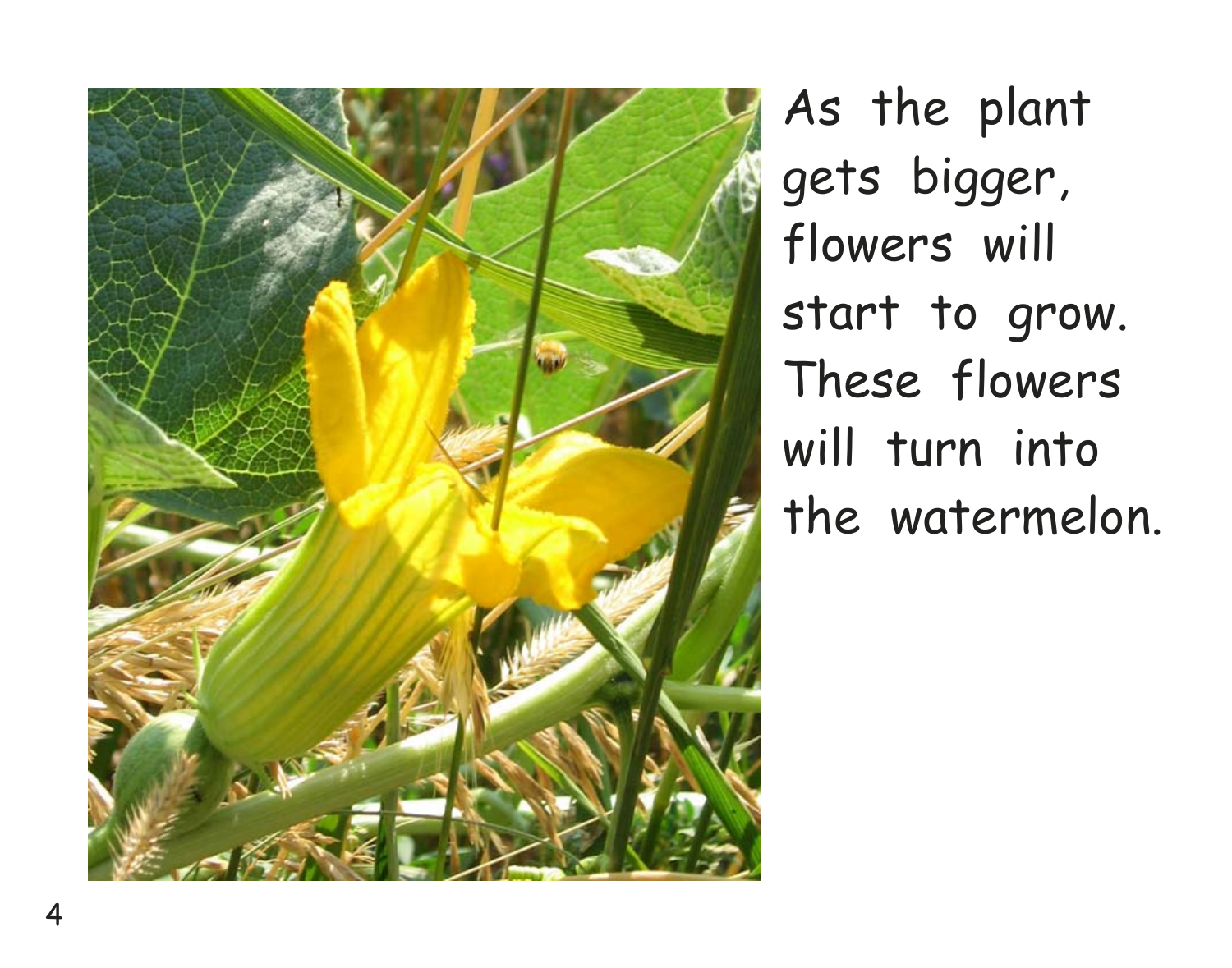

As the plant gets bigger, flowers will start to grow. These flowers will turn into the watermelon.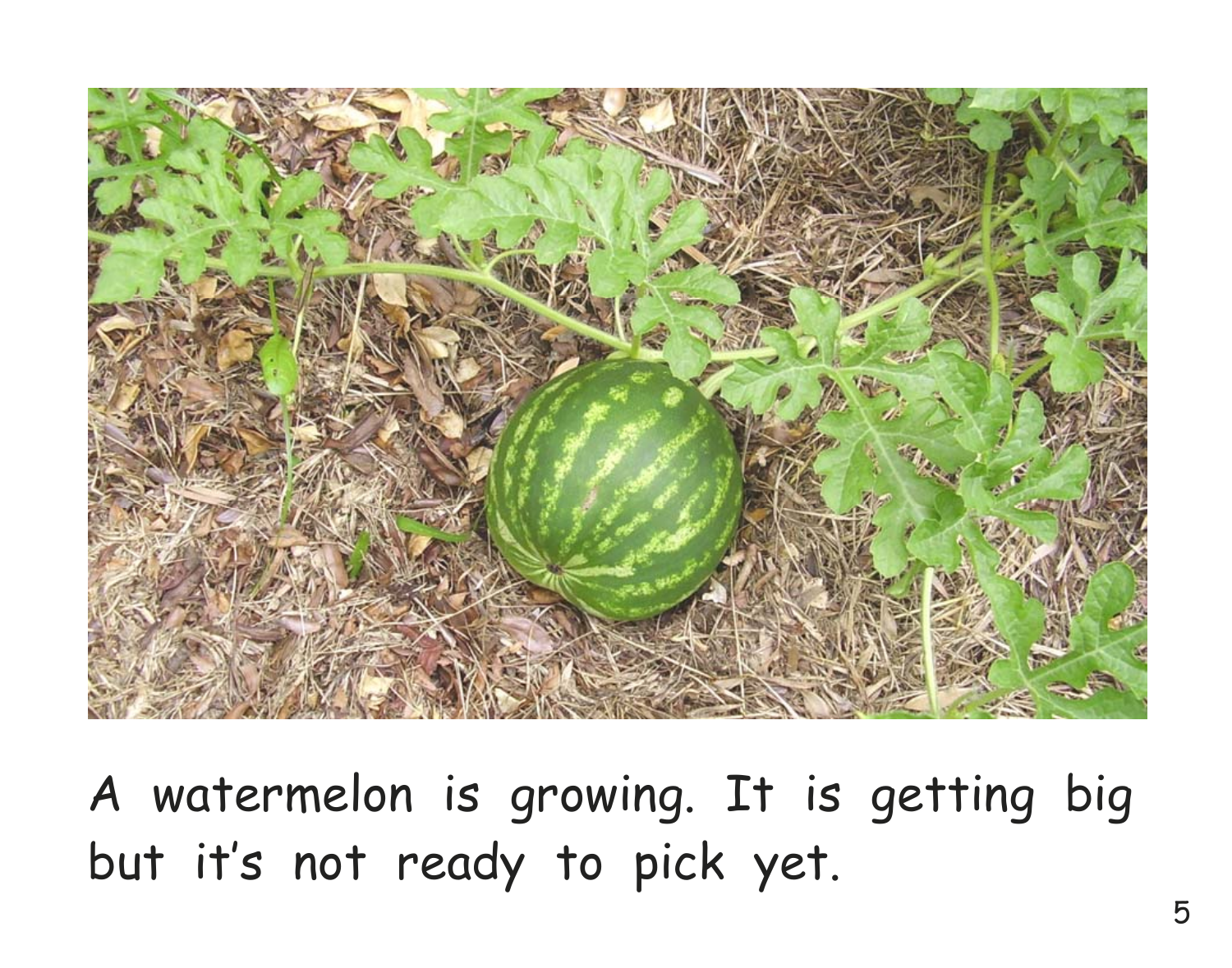

A watermelon is growing. It is getting big but it's not ready to pick yet.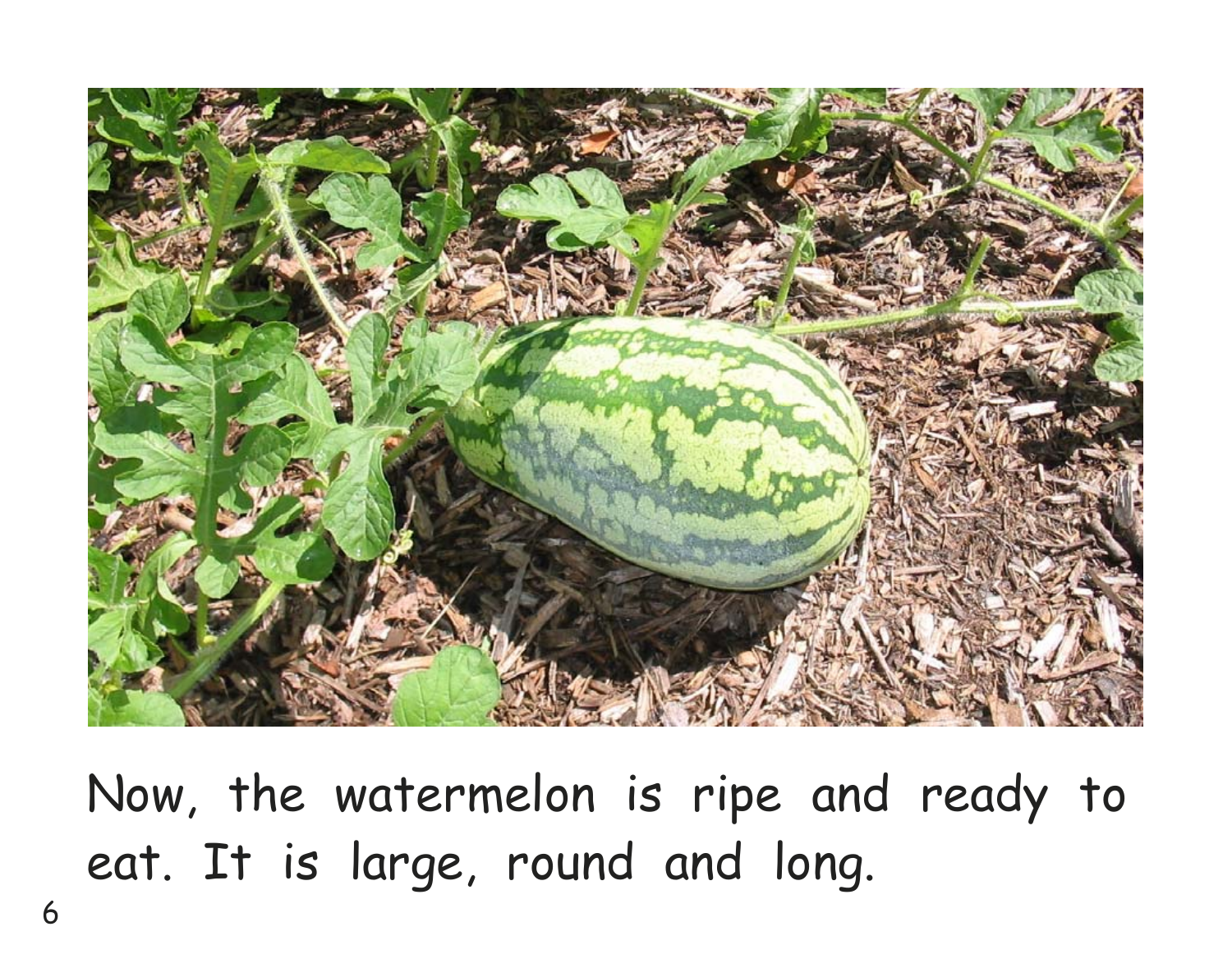

Now, the watermelon is ripe and ready to eat. It is large, round and long.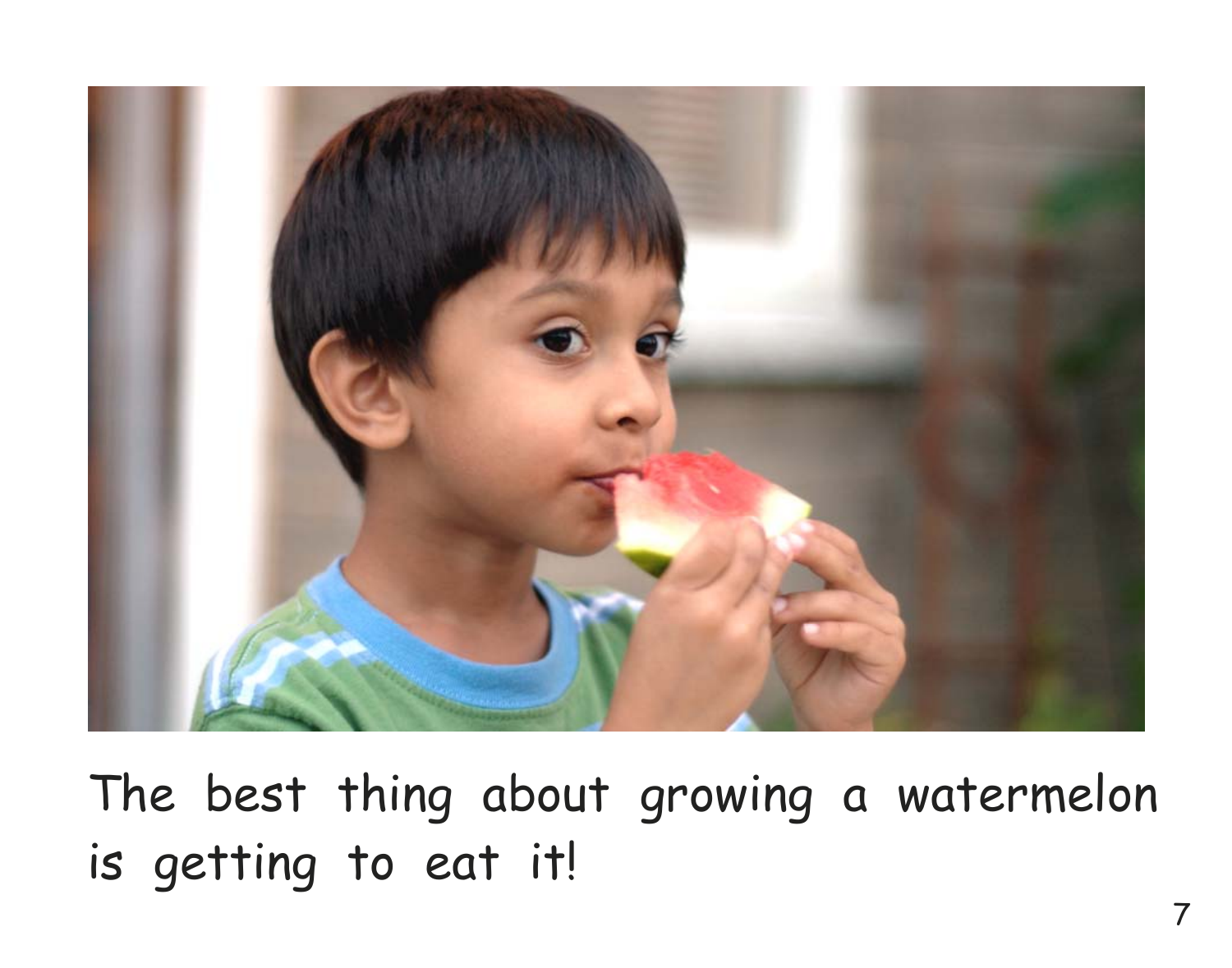

The best thing about growing a watermelon is getting to eat it!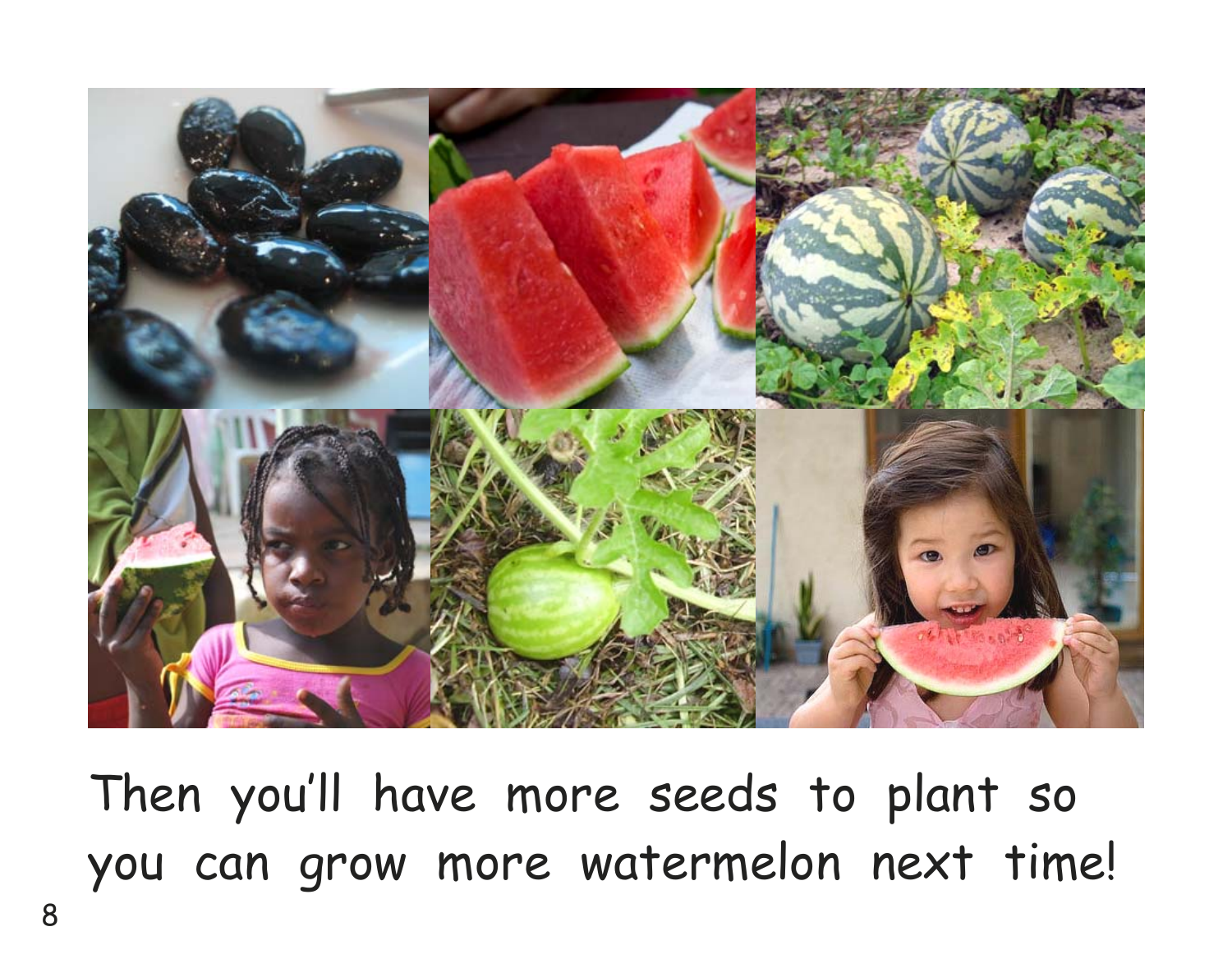

Then you'll have more seeds to plant so you can grow more watermelon next time!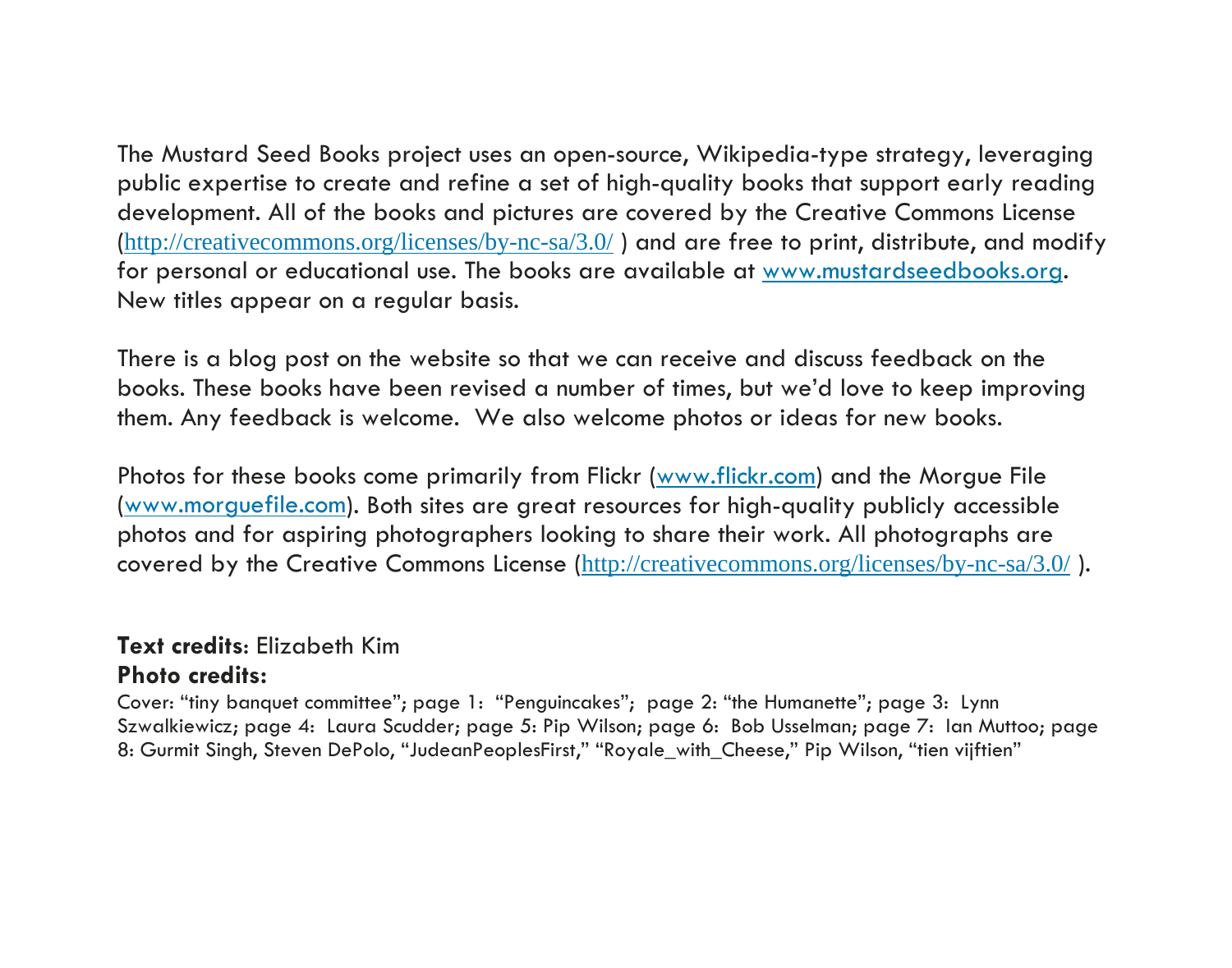The Mustard Seed Books project uses an open-source, Wikipedia-type strategy, leveraging public expertise to create and refine a set of high-quality books that support early reading development. All of the books and pictures are covered by the Creative Commons License (http://creativecommons.org/licenses/by-nc-sa/3.0/ ) and are free to print, distribute, and modify for personal or educational use. The books are available at www.mustardseedbooks.org. New titles appear on a regular basis.

There is a blog post on the website so that we can receive and discuss feedback on the books. These books have been revised a number of times, but we'd love to keep improving them. Any feedback is welcome. We also welcome photos or ideas for new books.

Photos for these books come primarily from Flickr (www.flickr.com) and the Morgue File (www.morguefile.com). Both sites are great resources for high-quality publicly accessible photos and for aspiring photographers looking to share their work. All photographs are covered by the Creative Commons License (http://creativecommons.org/licenses/by-nc-sa/3.0/ ).

#### **Text credits**: Elizabeth Kim

#### **Photo credits:**

Cover: "tiny banquet committee"; page 1: "Penguincakes"; page 2: "the Humanette"; page 3: Lynn Szwalkiewicz; page 4: Laura Scudder; page 5: Pip Wilson; page 6: Bob Usselman; page 7: Ian Muttoo; page 8: Gurmit Singh, Steven DePolo, "JudeanPeoplesFirst," "Royale\_with\_Cheese," Pip Wilson, "tien vijftien"